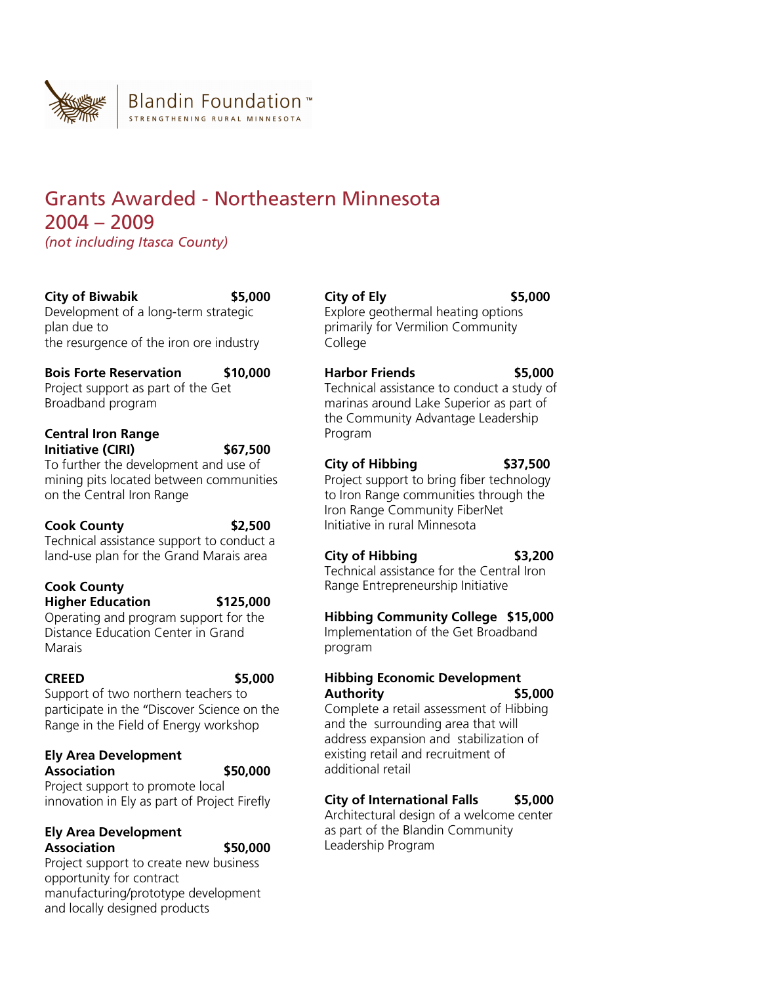

# Grants Awarded - Northeastern Minnesota 2004 – 2009 *(not including Itasca County)*

**City of Biwabik \$5,000** 

Development of a long-term strategic plan due to the resurgence of the iron ore industry

**Bois Forte Reservation \$10,000**  Project support as part of the Get Broadband program

#### **Central Iron Range Initiative (CIRI) \$67,500**

To further the development and use of mining pits located between communities on the Central Iron Range

# **Cook County \$2,500**

Technical assistance support to conduct a land-use plan for the Grand Marais area

## **Cook County Higher Education \$125,000**

Operating and program support for the Distance Education Center in Grand Marais

**CREED \$5,000** 

Support of two northern teachers to participate in the "Discover Science on the Range in the Field of Energy workshop

#### **Ely Area Development Association \$50,000**

Project support to promote local innovation in Ely as part of Project Firefly

#### **Ely Area Development Association \$50,000**

Project support to create new business opportunity for contract manufacturing/prototype development and locally designed products

**City of Ely \$5,000**  Explore geothermal heating options primarily for Vermilion Community College

**Harbor Friends \$5,000**  Technical assistance to conduct a study of marinas around Lake Superior as part of the Community Advantage Leadership Program

# **City of Hibbing \$37,500**

Project support to bring fiber technology to Iron Range communities through the Iron Range Community FiberNet Initiative in rural Minnesota

# **City of Hibbing \$3,200**

Technical assistance for the Central Iron Range Entrepreneurship Initiative

# **Hibbing Community College \$15,000**

Implementation of the Get Broadband program

## **Hibbing Economic Development Authority \$5,000**

Complete a retail assessment of Hibbing and the surrounding area that will address expansion and stabilization of existing retail and recruitment of additional retail

# **City of International Falls \$5,000**

Architectural design of a welcome center as part of the Blandin Community Leadership Program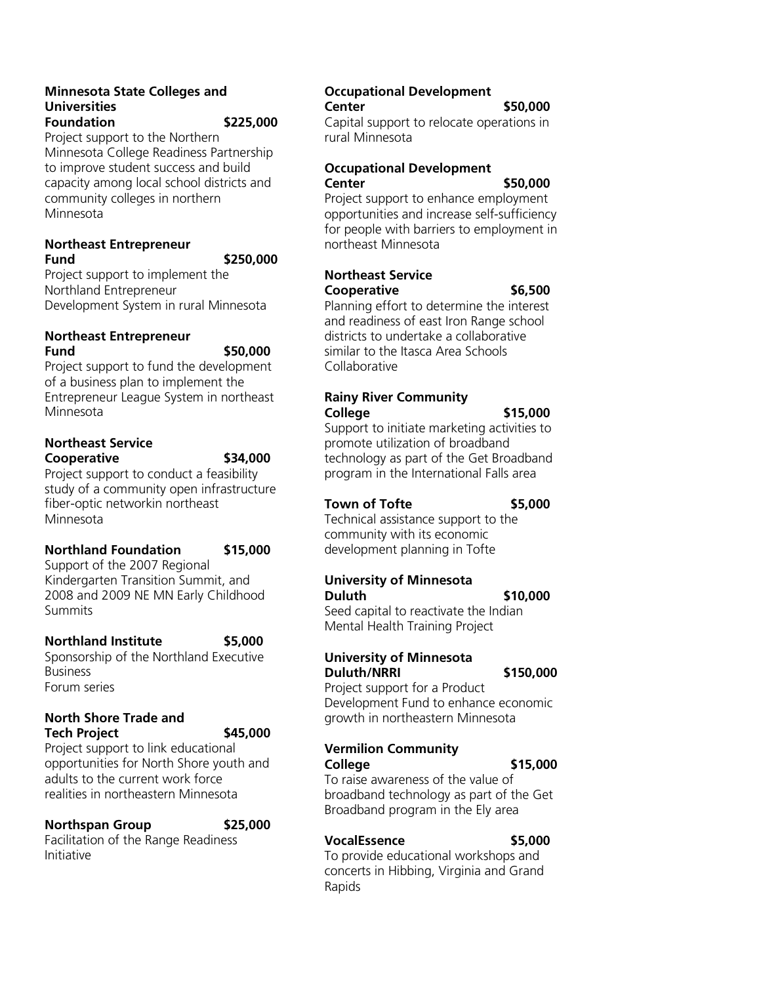#### **Minnesota State Colleges and Universities Foundation \$225,000**

Project support to the Northern Minnesota College Readiness Partnership to improve student success and build capacity among local school districts and community colleges in northern Minnesota

#### **Northeast Entrepreneur Fund \$250,000**

Project support to implement the Northland Entrepreneur Development System in rural Minnesota

#### **Northeast Entrepreneur Fund \$50,000**

Project support to fund the development of a business plan to implement the Entrepreneur League System in northeast Minnesota

# **Northeast Service**

**Cooperative \$34,000** 

Project support to conduct a feasibility study of a community open infrastructure fiber-optic networkin northeast Minnesota

## **Northland Foundation \$15,000**

Support of the 2007 Regional Kindergarten Transition Summit, and 2008 and 2009 NE MN Early Childhood **Summits** 

## **Northland Institute \$5,000**

Sponsorship of the Northland Executive **Business** Forum series

#### **North Shore Trade and Tech Project \$45,000**

Project support to link educational opportunities for North Shore youth and adults to the current work force realities in northeastern Minnesota

#### **Northspan Group \$25,000**

Facilitation of the Range Readiness Initiative

#### **Occupational Development Center \$50,000**

Capital support to relocate operations in rural Minnesota

#### **Occupational Development Center \$50,000**

Project support to enhance employment opportunities and increase self-sufficiency for people with barriers to employment in northeast Minnesota

#### **Northeast Service Cooperative \$6,500**

Planning effort to determine the interest and readiness of east Iron Range school districts to undertake a collaborative similar to the Itasca Area Schools Collaborative

#### **Rainy River Community College \$15,000**

Support to initiate marketing activities to promote utilization of broadband technology as part of the Get Broadband program in the International Falls area

## **Town of Tofte \$5,000**

Technical assistance support to the community with its economic development planning in Tofte

# **University of Minnesota Duluth \$10,000**

Seed capital to reactivate the Indian Mental Health Training Project

# **University of Minnesota Duluth/NRRI \$150,000**

Project support for a Product Development Fund to enhance economic growth in northeastern Minnesota

## **Vermilion Community College \$15,000**

To raise awareness of the value of broadband technology as part of the Get Broadband program in the Ely area

# **VocalEssence \$5,000**

To provide educational workshops and concerts in Hibbing, Virginia and Grand Rapids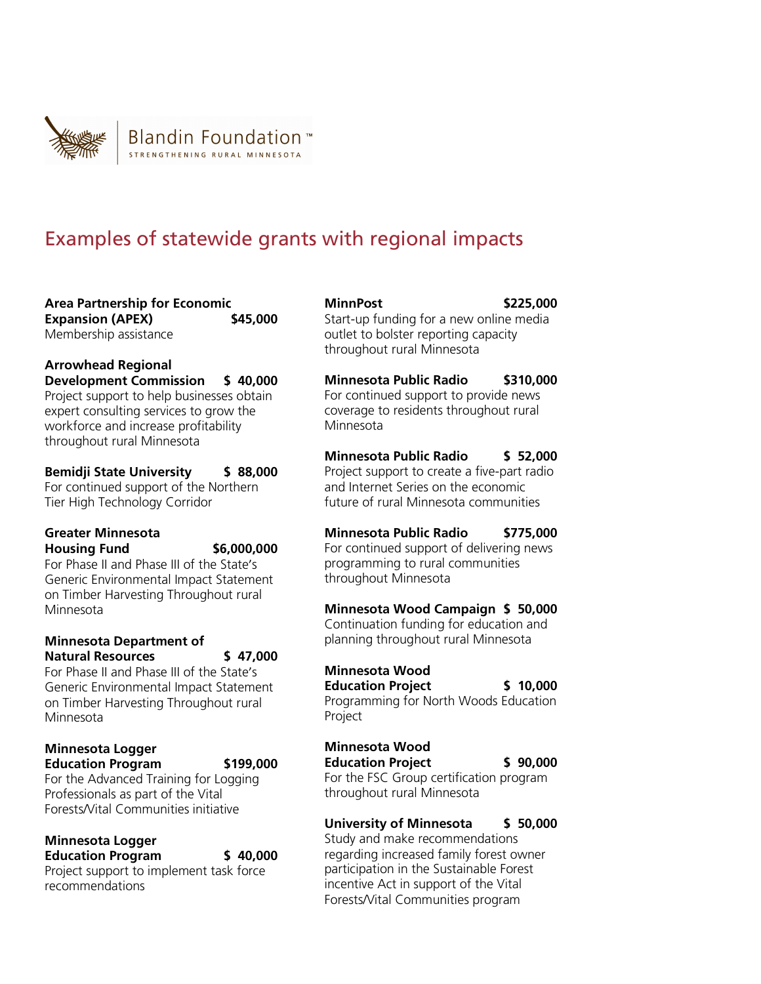

# Examples of statewide grants with regional impacts

**Area Partnership for Economic Expansion (APEX) \$45,000** Membership assistance

**Arrowhead Regional Development Commission \$ 40,000**  Project support to help businesses obtain expert consulting services to grow the workforce and increase profitability throughout rural Minnesota

**Bemidji State University \$ 88,000**  For continued support of the Northern Tier High Technology Corridor

#### **Greater Minnesota Housing Fund \$6,000,000**

For Phase II and Phase III of the State's Generic Environmental Impact Statement on Timber Harvesting Throughout rural Minnesota

#### **Minnesota Department of Natural Resources \$ 47,000**

For Phase II and Phase III of the State's Generic Environmental Impact Statement on Timber Harvesting Throughout rural Minnesota

#### **Minnesota Logger Education Program \$199,000**

For the Advanced Training for Logging Professionals as part of the Vital Forests/Vital Communities initiative

#### **Minnesota Logger Education Program \$ 40,000**

Project support to implement task force recommendations

#### **MinnPost \$225,000**  Start-up funding for a new online media outlet to bolster reporting capacity throughout rural Minnesota

**Minnesota Public Radio \$310,000**  For continued support to provide news coverage to residents throughout rural Minnesota

**Minnesota Public Radio \$ 52,000**  Project support to create a five-part radio and Internet Series on the economic future of rural Minnesota communities

**Minnesota Public Radio \$775,000**  For continued support of delivering news programming to rural communities throughout Minnesota

# **Minnesota Wood Campaign \$ 50,000**

Continuation funding for education and planning throughout rural Minnesota

# **Minnesota Wood**

**Education Project \$ 10,000** 

Programming for North Woods Education Project

# **Minnesota Wood**

**Education Project \$ 90,000**  For the FSC Group certification program

throughout rural Minnesota

# **University of Minnesota \$ 50,000**

Study and make recommendations regarding increased family forest owner participation in the Sustainable Forest incentive Act in support of the Vital Forests/Vital Communities program